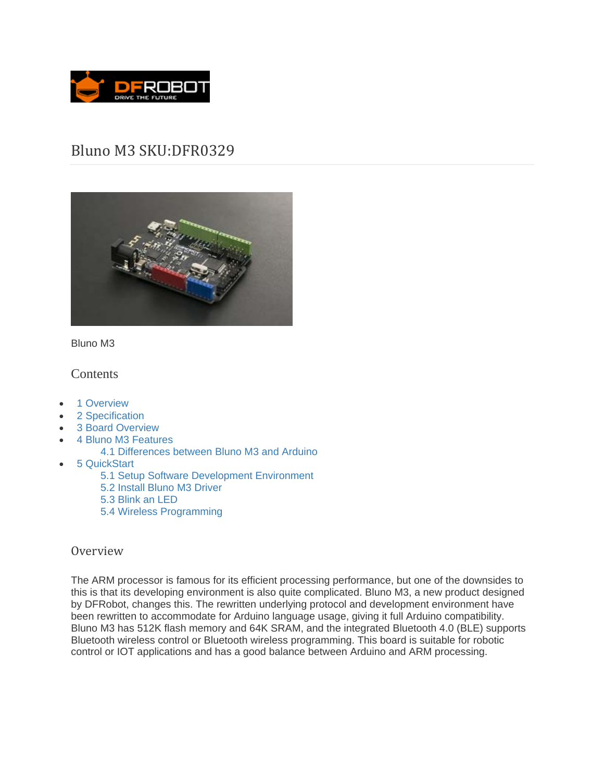

# Bluno M3 SKU:DFR0329



Bluno M3

## **Contents**

- 1 Overview
- 2 Specification
- 3 Board Overview
- 4 Bluno M3 Features
	- 4.1 Differences between Bluno M3 and Arduino
- 5 QuickStart
	- 5.1 Setup Software Development Environment
	- 5.2 Install Bluno M3 Driver
	- 5.3 Blink an LED
	- 5.4 Wireless Programming

### Overview

The ARM processor is famous for its efficient processing performance, but one of the downsides to this is that its developing environment is also quite complicated. Bluno M3, a new product designed by DFRobot, changes this. The rewritten underlying protocol and development environment have been rewritten to accommodate for Arduino language usage, giving it full Arduino compatibility. Bluno M3 has 512K flash memory and 64K SRAM, and the integrated Bluetooth 4.0 (BLE) supports Bluetooth wireless control or Bluetooth wireless programming. This board is suitable for robotic control or IOT applications and has a good balance between Arduino and ARM processing.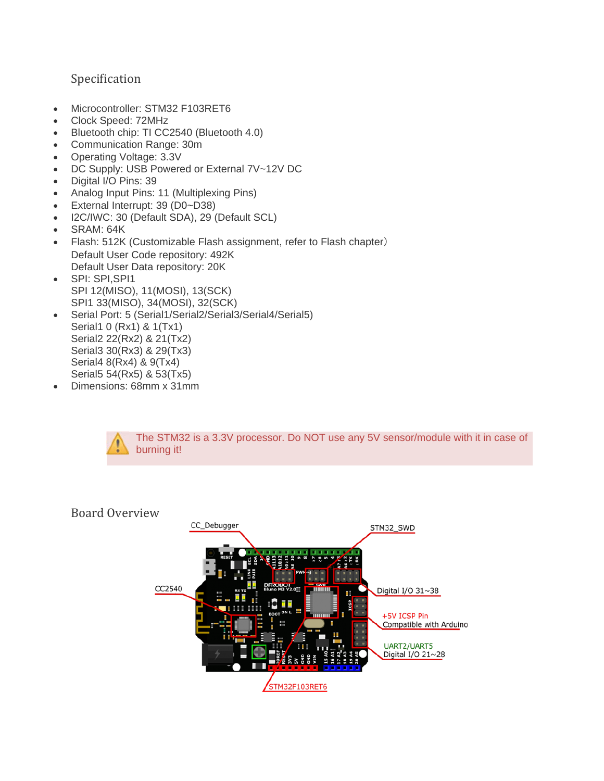# Specification

- Microcontroller: STM32 F103RET6
- Clock Speed: 72MHz
- Bluetooth chip: TI CC2540 (Bluetooth 4.0)
- Communication Range: 30m
- Operating Voltage: 3.3V
- DC Supply: USB Powered or External 7V~12V DC
- Digital I/O Pins: 39
- Analog Input Pins: 11 (Multiplexing Pins)
- External Interrupt: 39 (D0~D38)
- I2C/IWC: 30 (Default SDA), 29 (Default SCL)
- SRAM: 64K
- Flash: 512K (Customizable Flash assignment, refer to Flash chapter) Default User Code repository: 492K Default User Data repository: 20K
- SPI: SPI,SPI1 SPI 12(MISO), 11(MOSI), 13(SCK) SPI1 33(MISO), 34(MOSI), 32(SCK)
- Serial Port: 5 (Serial1/Serial2/Serial3/Serial4/Serial5) Serial1 0 (Rx1) & 1(Tx1) Serial2 22(Rx2) & 21(Tx2) Serial3 30(Rx3) & 29(Tx3) Serial4 8(Rx4) & 9(Tx4) Serial5 54(Rx5) & 53(Tx5)
- Dimensions: 68mm x 31mm



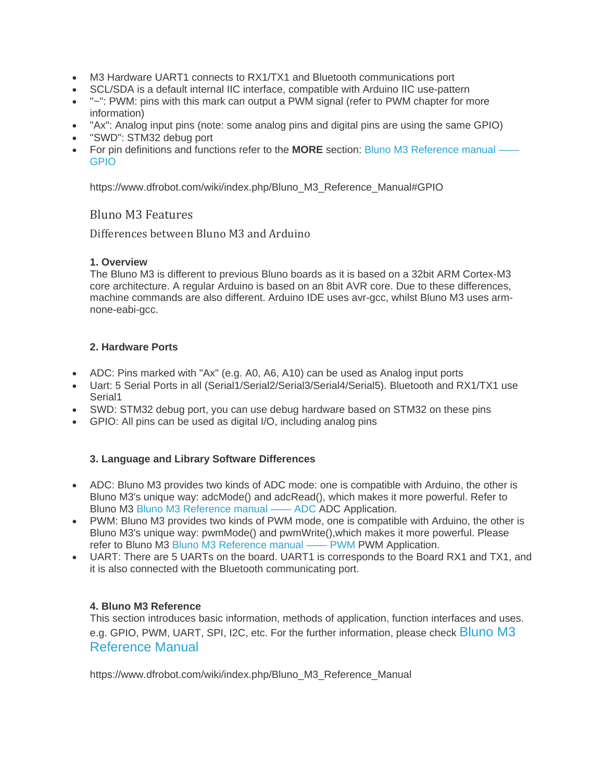- M3 Hardware UART1 connects to RX1/TX1 and Bluetooth communications port
- SCL/SDA is a default internal IIC interface, compatible with Arduino IIC use-pattern
- "~": PWM: pins with this mark can output a PWM signal (refer to PWM chapter for more information)
- "Ax": Analog input pins (note: some analog pins and digital pins are using the same GPIO)
- "SWD": STM32 debug port
- For pin definitions and functions refer to the **MORE** section: Bluno M3 Reference manual GPIO

https://www.dfrobot.com/wiki/index.php/Bluno\_M3\_Reference\_Manual#GPIO

### Bluno M3 Features

Differences between Bluno M3 and Arduino

### **1. Overview**

The Bluno M3 is different to previous Bluno boards as it is based on a 32bit ARM Cortex-M3 core architecture. A regular Arduino is based on an 8bit AVR core. Due to these differences, machine commands are also different. Arduino IDE uses avr-gcc, whilst Bluno M3 uses armnone-eabi-gcc.

#### **2. Hardware Ports**

- ADC: Pins marked with "Ax" (e.g. A0, A6, A10) can be used as Analog input ports
- Uart: 5 Serial Ports in all (Serial1/Serial2/Serial3/Serial4/Serial5). Bluetooth and RX1/TX1 use Serial1
- SWD: STM32 debug port, you can use debug hardware based on STM32 on these pins
- GPIO: All pins can be used as digital I/O, including analog pins

### **3. Language and Library Software Differences**

- ADC: Bluno M3 provides two kinds of ADC mode: one is compatible with Arduino, the other is Bluno M3's unique way: adcMode() and adcRead(), which makes it more powerful. Refer to Bluno M3 Bluno M3 Reference manual —— ADC ADC Application.
- PWM: Bluno M3 provides two kinds of PWM mode, one is compatible with Arduino, the other is Bluno M3's unique way: pwmMode() and pwmWrite(),which makes it more powerful. Please refer to Bluno M3 Bluno M3 Reference manual —— PWM PWM Application.
- UART: There are 5 UARTs on the board. UART1 is corresponds to the Board RX1 and TX1, and it is also connected with the Bluetooth communicating port.

### **4. Bluno M3 Reference**

This section introduces basic information, methods of application, function interfaces and uses. e.g. GPIO, PWM, UART, SPI, I2C, etc. For the further information, please check Bluno M3 Reference Manual

https://www.dfrobot.com/wiki/index.php/Bluno\_M3\_Reference\_Manual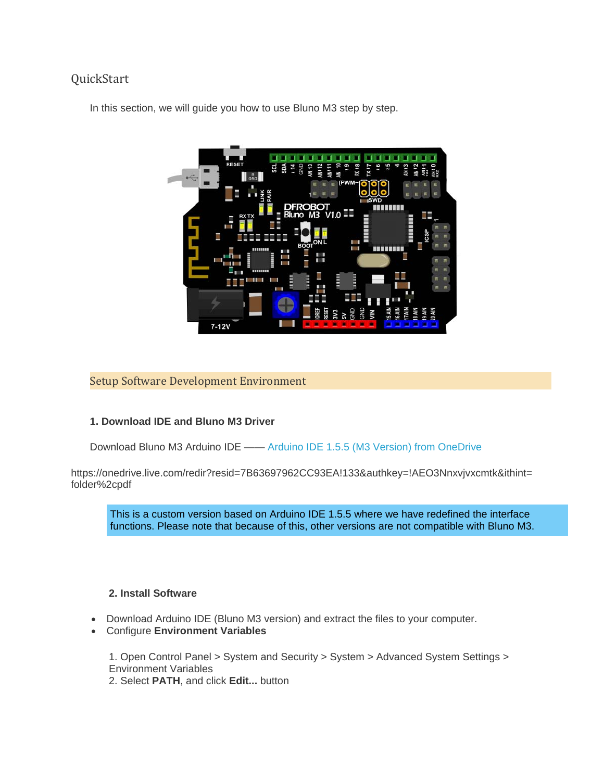# QuickStart

In this section, we will guide you how to use Bluno M3 step by step.



### Setup Software Development Environment

### **1. Download IDE and Bluno M3 Driver**

Download Bluno M3 Arduino IDE —— Arduino IDE 1.5.5 (M3 Version) from OneDrive

https://onedrive.live.com/redir?resid=7B63697962CC93EA!133&authkey=!AEO3Nnxvjvxcmtk&ithint= folder%2cpdf

This is a custom version based on Arduino IDE 1.5.5 where we have redefined the interface functions. Please note that because of this, other versions are not compatible with Bluno M3.

### **2. Install Software**

- Download Arduino IDE (Bluno M3 version) and extract the files to your computer.
- Configure **Environment Variables**

1. Open Control Panel > System and Security > System > Advanced System Settings > Environment Variables

2. Select **PATH**, and click **Edit...** button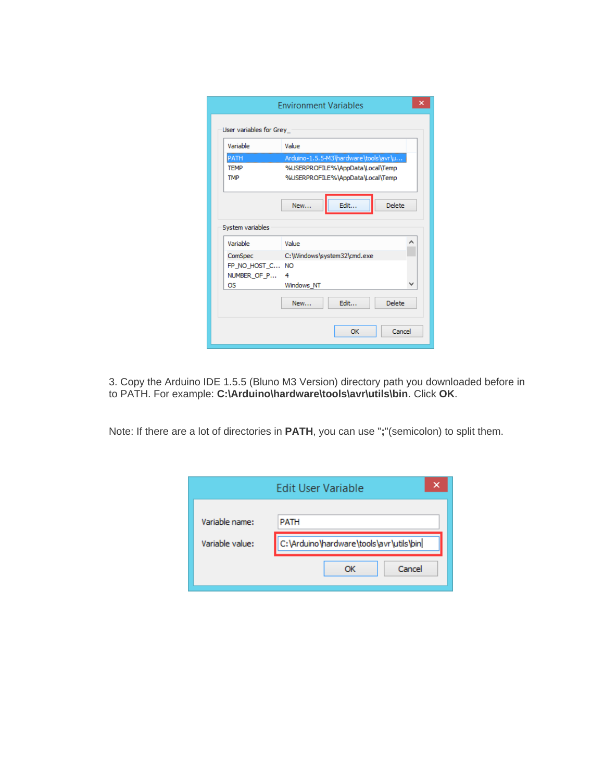| Variable         | Value                                 |  |  |
|------------------|---------------------------------------|--|--|
| PATH             | Arduino-1.5.5-M3\hardware\tools\avr\u |  |  |
| <b>TFMP</b>      | %USERPROFILE%\AppData\Local\Temp      |  |  |
| <b>TMP</b>       | %USERPROFILE%\AppData\Local\Temp      |  |  |
|                  |                                       |  |  |
|                  |                                       |  |  |
|                  | Edit<br><b>Delete</b><br>New          |  |  |
|                  |                                       |  |  |
| System variables |                                       |  |  |
| Variable         | Value                                 |  |  |
| ComSpec          | C:\Windows\system32\cmd.exe           |  |  |
| FP NO HOST C NO  |                                       |  |  |
| NUMBER OF P      | 4                                     |  |  |
| OS.              | Windows NT                            |  |  |
|                  | Fdit<br><b>Delete</b><br>New          |  |  |

3. Copy the Arduino IDE 1.5.5 (Bluno M3 Version) directory path you downloaded before in to PATH. For example: **C:\Arduino\hardware\tools\avr\utils\bin**. Click **OK**.

Note: If there are a lot of directories in **PATH**, you can use "**;**"(semicolon) to split them.

|                 | ×<br><b>Edit User Variable</b>          |  |
|-----------------|-----------------------------------------|--|
| Variable name:  | <b>PATH</b>                             |  |
| Variable value: | C:\Arduino\hardware\tools\avr\utils\bin |  |
|                 | Cancel<br>ОК                            |  |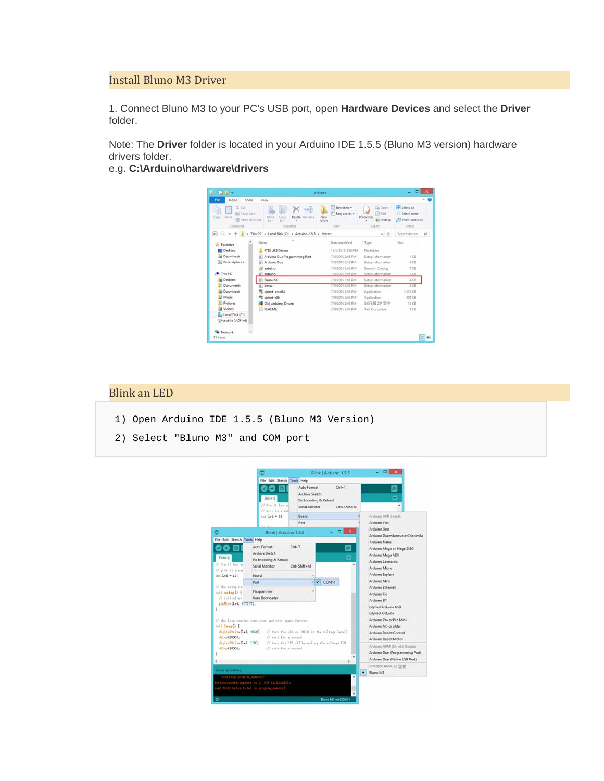### Install Bluno M3 Driver

1. Connect Bluno M3 to your PC's USB port, open **Hardware Devices** and select the **Driver** folder.

Note: The **Driver** folder is located in your Arduino IDE 1.5.5 (Bluno M3 version) hardware drivers folder.

### e.g. **C:\Arduino\hardware\drivers**



### **Blink** an LED

- 1) Open Arduino IDE 1.5.5 (Bluno M3 Version)
- 2) Select "Bluno M3" and COM port

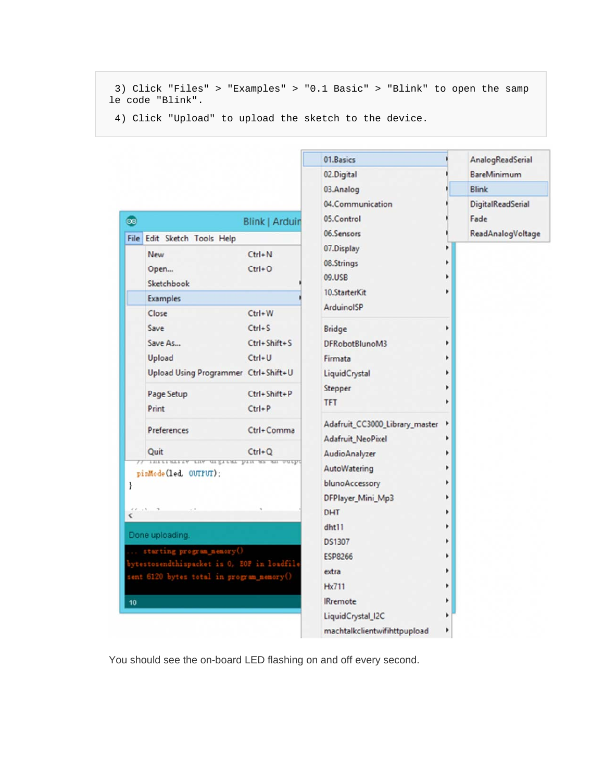3) Click "Files" > "Examples" > "0.1 Basic" > "Blink" to open the samp le code "Blink".

01.Basics

AnalogReadSerial

4) Click "Upload" to upload the sketch to the device.

|                                                                                                                                                                                                                                |                                                                                                    | 02.Digital                                                                                                                                                                                                              |  | BareMinimum       |
|--------------------------------------------------------------------------------------------------------------------------------------------------------------------------------------------------------------------------------|----------------------------------------------------------------------------------------------------|-------------------------------------------------------------------------------------------------------------------------------------------------------------------------------------------------------------------------|--|-------------------|
|                                                                                                                                                                                                                                |                                                                                                    | 03.Analog                                                                                                                                                                                                               |  | <b>Blink</b>      |
|                                                                                                                                                                                                                                |                                                                                                    | 04.Communication                                                                                                                                                                                                        |  | DigitalReadSerial |
| $\bullet$                                                                                                                                                                                                                      | <b>Blink   Arduin</b>                                                                              | 05.Control                                                                                                                                                                                                              |  | Fade              |
| File Edit Sketch Tools Help                                                                                                                                                                                                    |                                                                                                    | 06.Sensors                                                                                                                                                                                                              |  | ReadAnalogVoltage |
| New<br>Open<br>Sketchbook<br>Examples<br>Close<br>Save<br>Save As<br>Upload<br>Upload Using Programmer Ctrl+Shift+U<br>Page Setup                                                                                              | $Ctrl + N$<br>$Ctrl + O$<br>$Ctrl + W$<br>$Ctrl + S$<br>Ctrl+Shift+S<br>$Ctrl + U$<br>Ctrl+Shift+P | 07.Display<br>08.Strings<br>09.USB<br>10.StarterKit<br>ArduinoISP<br><b>Bridge</b><br>DFRobotBlunoM3<br>Firmata<br>LiquidCrystal<br>Stepper<br><b>TFT</b><br>Adafruit_CC3000_Library_master<br><b>Adafruit_NeoPixel</b> |  |                   |
| Print<br>Preferences                                                                                                                                                                                                           | $Ctrl + P$<br>Ctrl+Comma                                                                           |                                                                                                                                                                                                                         |  |                   |
| Quit<br>pinMode(led. OUTPUT):<br>ł<br>$6.6 - 1.3$<br>$\overline{\phantom{a}}$<br>Done uploading.<br>starting program_nenory()<br>ytestosendthispacket is 0, EOF in loadfile<br>sent 6120 bytes total in program_memory()<br>10 | $Ctrl + Q$<br>INITIALLY LHW GIZITAL DIN MS AN UGTPO                                                | AudioAnalyzer<br>AutoWatering<br>blunoAccessory<br>DFPlayer_Mini_Mp3<br><b>DHT</b><br>dht11<br><b>DS1307</b><br><b>ESP8266</b><br>extra<br><b>Hx711</b><br><b>IRremote</b>                                              |  |                   |
|                                                                                                                                                                                                                                |                                                                                                    | LiquidCrystal_I2C<br>machtalkclientwifihttpupload                                                                                                                                                                       |  |                   |

You should see the on-board LED flashing on and off every second.